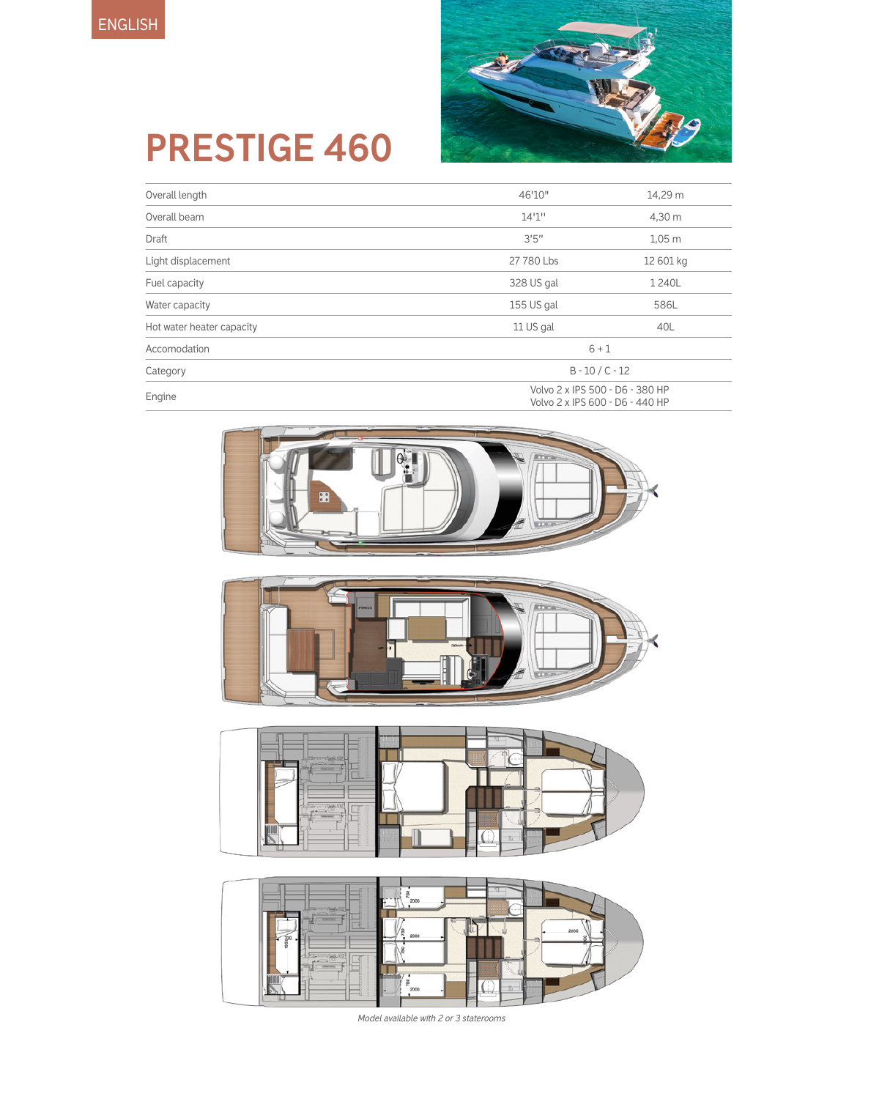

# **PRESTIGE 460**

| Overall length            | 46'10"                                                             | 14,29 m           |  |
|---------------------------|--------------------------------------------------------------------|-------------------|--|
| Overall beam              | 14'1''                                                             | 4,30 m            |  |
| Draft                     | 3'5''                                                              | $1,05$ m          |  |
| Light displacement        | 27 780 Lbs                                                         | 12 601 kg         |  |
| Fuel capacity             | 328 US gal                                                         | 1240L             |  |
| Water capacity            | 155 US gal                                                         | 586L              |  |
| Hot water heater capacity | 11 US gal                                                          | 40L               |  |
| Accomodation              | $6 + 1$                                                            |                   |  |
| Category                  |                                                                    | $B - 10 / C - 12$ |  |
| Engine                    | Volvo 2 x IPS 500 - D6 - 380 HP<br>Volvo 2 x IPS 600 - D6 - 440 HP |                   |  |







*Model available with 2 or 3 staterooms*